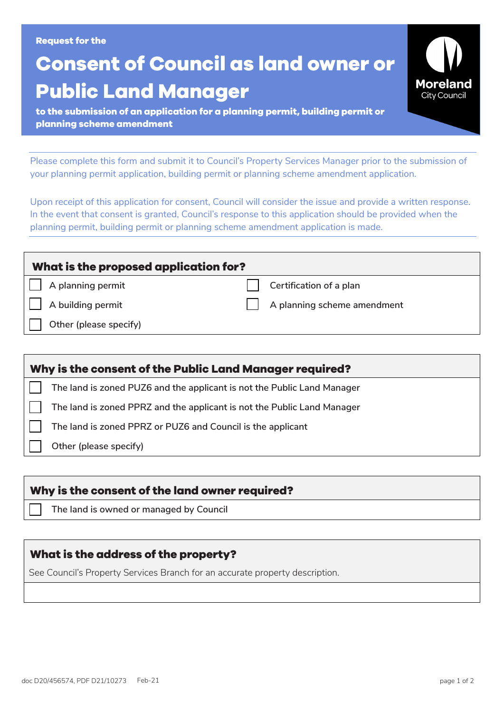#### **Request for the**

# **Consent of Council as land owner or Public Land Manager**

**to the submission of an application for a planning permit, building permit or planning scheme amendment**

Please complete this form and submit it to Council's Property Services Manager prior to the submission of your planning permit application, building permit or planning scheme amendment application.

Upon receipt of this application for consent, Council will consider the issue and provide a written response. In the event that consent is granted, Council's response to this application should be provided when the planning permit, building permit or planning scheme amendment application is made.

| What is the proposed application for? |                             |  |  |  |  |  |  |
|---------------------------------------|-----------------------------|--|--|--|--|--|--|
| A planning permit                     | Certification of a plan     |  |  |  |  |  |  |
| A building permit                     | A planning scheme amendment |  |  |  |  |  |  |
| Other (please specify)                |                             |  |  |  |  |  |  |
|                                       |                             |  |  |  |  |  |  |

| Why is the consent of the Public Land Manager required? |                                                                         |  |  |  |
|---------------------------------------------------------|-------------------------------------------------------------------------|--|--|--|
|                                                         | The land is zoned PUZ6 and the applicant is not the Public Land Manager |  |  |  |
|                                                         | The land is zoned PPRZ and the applicant is not the Public Land Manager |  |  |  |
|                                                         | The land is zoned PPRZ or PUZ6 and Council is the applicant             |  |  |  |
|                                                         | Other (please specify)                                                  |  |  |  |

#### **Why is the consent of the land owner required?**

☐ **The land is owned or managed by Council**

#### **What is the address of the property?**

See Council's Property Services Branch for an accurate property description.

**Moreland City Council**